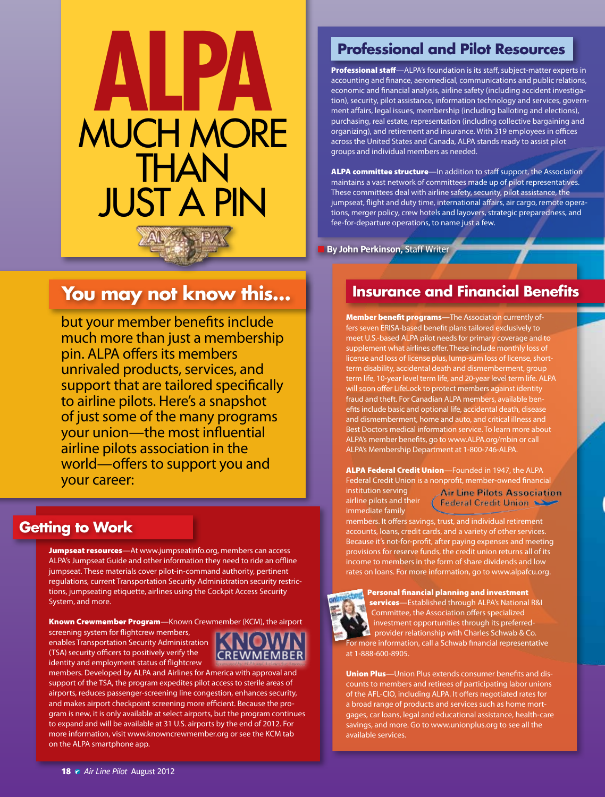

# **You may not know this…**

but your member benefits include much more than just a membership pin. ALPA offers its members unrivaled products, services, and support that are tailored specifically to airline pilots. Here's a snapshot of just some of the many programs your union—the most influential airline pilots association in the world—offers to support you and your career:

## **Getting to Work**

Jumpseat resources*—*At [www.jumpseatinfo.org](http://www.jumpseatinfo.org), members can access ALPA's Jumpseat Guide and other information they need to ride an offline jumpseat. These materials cover pilot-in-command authority, pertinent regulations, current Transportation Security Administration security restrictions, jumpseating etiquette, airlines using the Cockpit Access Security System, and more.

Known Crewmember Program—Known Crewmember (KCM), the airport

screening system for flightcrew members, enables Transportation Security Administration (TSA) security officers to positively verify the identity and employment status of flightcrew



members. Developed by ALPA and Airlines for America with approval and support of the TSA, the program expedites pilot access to sterile areas of airports, reduces passenger-screening line congestion, enhances security, and makes airport checkpoint screening more efficient. Because the program is new, it is only available at select airports, but the program continues to expand and will be available at 31 U.S. airports by the end of 2012. For more information, visit<www.knowncrewmember.org>or see the KCM tab on the ALPA smartphone app.

# **Professional and Pilot Resources**

Professional staff*—*ALPA's foundation is its staff, subject-matter experts in accounting and finance, aeromedical, communications and public relations, economic and financial analysis, airline safety (including accident investigation), security, pilot assistance, information technology and services, government affairs, legal issues, membership (including balloting and elections), purchasing, real estate, representation (including collective bargaining and organizing), and retirement and insurance. With 319 employees in offices across the United States and Canada, ALPA stands ready to assist pilot groups and individual members as needed.

ALPA committee structure*—*In addition to staff support, the Association maintains a vast network of committees made up of pilot representatives. These committees deal with airline safety, security, pilot assistance, the jumpseat, flight and duty time, international affairs, air cargo, remote operations, merger policy, crew hotels and layovers, strategic preparedness, and fee-for-departure operations, to name just a few.

**By John Perkinson, Staff Writer** 

# **Insurance and Financial Benefits**

Member benefit programs-The Association currently offers seven ERISA-based benefit plans tailored exclusively to meet U.S.-based ALPA pilot needs for primary coverage and to supplement what airlines offer. These include monthly loss of license and loss of license plus, lump-sum loss of license, shortterm disability, accidental death and dismemberment, group term life, 10-year level term life, and 20-year level term life. ALPA will soon offer LifeLock to protect members against identity fraud and theft. For Canadian ALPA members, available benefits include basic and optional life, accidental death, disease and dismemberment, home and auto, and critical illness and Best Doctors medical information service. To learn more about ALPA's member benefits, go to <www.ALPA.org/mbin> or call ALPA's Membership Department at 1-800-746-ALPA.

ALPA Federal Credit Union*—*Founded in 1947, the ALPA Federal Credit Union is a nonprofit, member-owned financial institution serving **Air Line Pilots Association** airline pilots and their Federal Credit Union immediate family

members. It offers savings, trust, and individual retirement accounts, loans, credit cards, and a variety of other services. Because it's not-for-profit, after paying expenses and meeting provisions for reserve funds, the credit union returns all of its income to members in the form of share dividends and low rates on loans. For more information, go to <www.alpafcu.org>.



Personal financial planning and investment services*—*Established through ALPA's National R&I Committee, the Association offers specialized investment opportunities through its preferredprovider relationship with Charles Schwab & Co. For more information, call a Schwab financial representative at 1-888-600-8905.

Union Plus*—*Union Plus extends consumer benefits and discounts to members and retirees of participating labor unions of the AFL-CIO, including ALPA. It offers negotiated rates for a broad range of products and services such as home mortgages, car loans, legal and educational assistance, health-care savings, and more. Go to<www.unionplus.org>to see all the available services.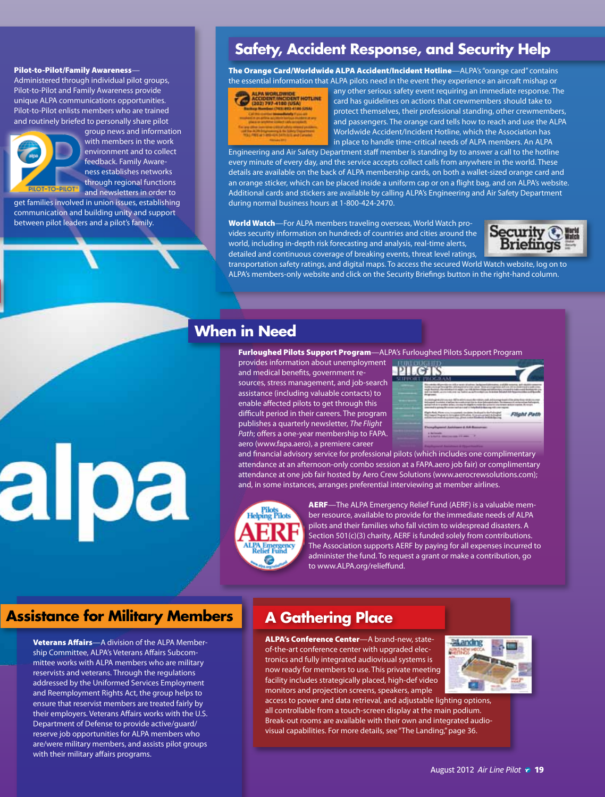#### Pilot-to-Pilot/Family Awareness*—*

Administered through individual pilot groups, Pilot-to-Pilot and Family Awareness provide unique ALPA communications opportunities. Pilot-to-Pilot enlists members who are trained and routinely briefed to personally share pilot



group news and information with members in the work environment and to collect feedback. Family Awareness establishes networks through regional functions

and newsletters in order to get families involved in union issues, establishing communication and building unity and support between pilot leaders and a pilot's family.

# **Safety, Accident Response, and Security Help**

The Orange Card/Worldwide ALPA Accident/Incident Hotline*—*ALPA's "orange card" contains the essential information that ALPA pilots need in the event they experience an aircraft mishap or



any other serious safety event requiring an immediate response. The card has guidelines on actions that crewmembers should take to protect themselves, their professional standing, other crewmembers, and passengers. The orange card tells how to reach and use the ALPA Worldwide Accident/Incident Hotline, which the Association has in place to handle time-critical needs of ALPA members. An ALPA

Engineering and Air Safety Department staff member is standing by to answer a call to the hotline every minute of every day, and the service accepts collect calls from anywhere in the world. These details are available on the back of ALPA membership cards, on both a wallet-sized orange card and an orange sticker, which can be placed inside a uniform cap or on a flight bag, and on ALPA's website. Additional cards and stickers are available by calling ALPA's Engineering and Air Safety Department during normal business hours at 1-800-424-2470.

World Watch*—*For ALPA members traveling overseas, World Watch provides security information on hundreds of countries and cities around the world, including in-depth risk forecasting and analysis, real-time alerts, detailed and continuous coverage of breaking events, threat level ratings,



transportation safety ratings, and digital maps. To access the secured World Watch website, log on to ALPA's members-only website and click on the [Security Briefings](http://www.alpa.org/WorldWatchRedirect/tabid/5689/Default.aspx) button in the right-hand column.

# **When in Need**

Furloughed Pilots Support Program*—*ALPA's Furloughed Pilots Support Program

DТ

provides information about unemployment and medical benefits, government resources, stress management, and job-search assistance (including valuable contacts) to enable affected pilots to get through this difficult period in their careers. The program publishes a quarterly newsletter, *The Flight Path*; offers a one-year membership to [FAPA.](http://www.fapa.aero) [aero](http://www.fapa.aero) ([www.fapa.aero\)](http://www.fapa.aero), a premiere career

|                  | EGELENNISCHE TROPIERINGEN<br>Kilos (1964) Anders (1970) und Verlagen<br><b>SAN ANTICOLOGY</b><br>a not better as it from derive Automa Schutz Library<br>and their departy, as a development | orn and is fed                                                |
|------------------|----------------------------------------------------------------------------------------------------------------------------------------------------------------------------------------------|---------------------------------------------------------------|
| <b>Diversion</b> | ark dealer for retriev, call of<br>my to mark 4 mile by university you<br>and auto ket us on one or an annual<br>and a holy field it does not                                                | the first and the country<br>Arena calutas acativa. Miratukin |
|                  | percent is action from<br>The former than a consumer in problem in depth for the control of the con-                                                                                         | Flight Path                                                   |

and financial advisory service for professional pilots (which includes one complimentary attendance at an afternoon-only combo session at a <FAPA.aero>job fair) or complimentary attendance at one job fair hosted by Aero Crew Solutions [\(www.aerocrewsolutions.com\)](http://www.aerocrewsolutions.com/); and, in some instances, arranges preferential interviewing at member airlines.



AERF*—*The ALPA Emergency Relief Fund (AERF) is a valuable member resource, available to provide for the immediate needs of ALPA pilots and their families who fall victim to widespread disasters. A Section 501(c)(3) charity, AERF is funded solely from contributions. The Association supports AERF by paying for all expenses incurred to administer the fund. To request a grant or make a contribution, go to [www.ALPA.org/relieffund](http://www.alpa.org/relieffund).

### **Assistance for Military Members | A Gathering Place**

alpa

Veterans Affairs*—*A division of the ALPA Membership Committee, ALPA's Veterans Affairs Subcommittee works with ALPA members who are military reservists and veterans. Through the regulations addressed by the Uniformed Services Employment and Reemployment Rights Act, the group helps to ensure that reservist members are treated fairly by their employers. Veterans Affairs works with the U.S. Department of Defense to provide active/guard/ reserve job opportunities for ALPA members who are/were military members, and assists pilot groups with their military affairs programs.

ALPA's Conference Center*—*A brand-new, stateof-the-art conference center with upgraded electronics and fully integrated audiovisual systems is now ready for members to use. This private meeting facility includes strategically placed, high-def video monitors and projection screens, speakers, ample



access to power and data retrieval, and adjustable lighting options, all controllable from a touch-screen display at the main podium. Break-out rooms are available with their own and integrated audiovisual capabilities. For more details, see "The Landing," page 36.